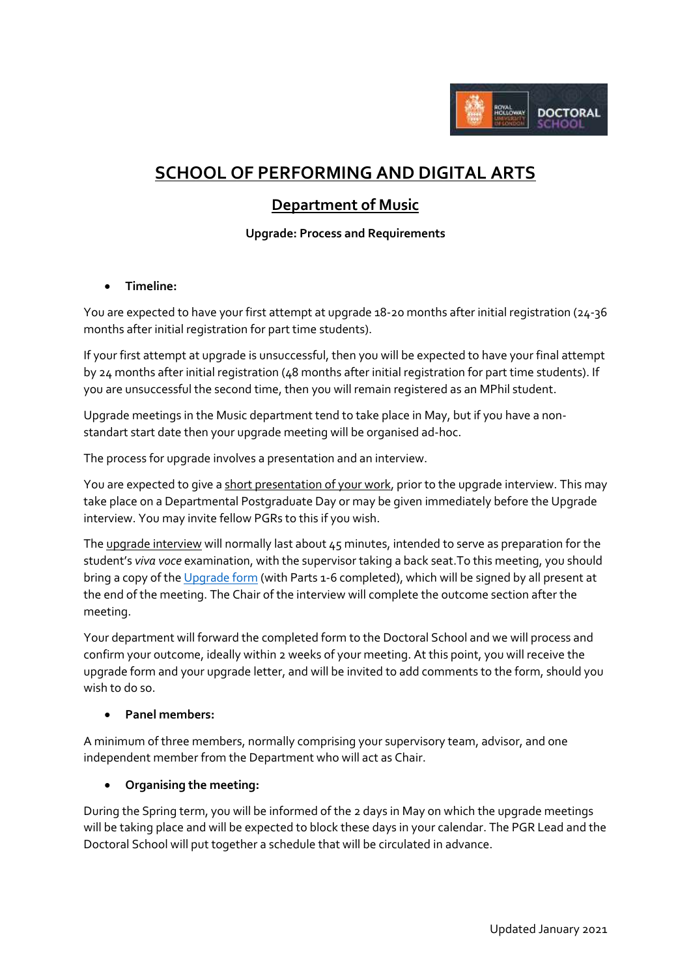

# **SCHOOL OF PERFORMING AND DIGITAL ARTS**

# **Department of Music**

# **Upgrade: Process and Requirements**

# **Timeline:**

You are expected to have your first attempt at upgrade 18-20 months after initial registration (24-36 months after initial registration for part time students).

If your first attempt at upgrade is unsuccessful, then you will be expected to have your final attempt by 24 months after initial registration (48 months after initial registration for part time students). If you are unsuccessful the second time, then you will remain registered as an MPhil student.

Upgrade meetings in the Music department tend to take place in May, but if you have a nonstandart start date then your upgrade meeting will be organised ad-hoc.

The process for upgrade involves a presentation and an interview.

You are expected to give a short presentation of your work, prior to the upgrade interview. This may take place on a Departmental Postgraduate Day or may be given immediately before the Upgrade interview. You may invite fellow PGRs to this if you wish.

The upgrade interview will normally last about 45 minutes, intended to serve as preparation for the student's *viva voce* examination, with the supervisor taking a back seat.To this meeting, you should bring a copy of th[e Upgrade form](https://intranet.royalholloway.ac.uk/doctoral-school/assets/docs/doc/upgrade-form.docx) (with Parts 1-6 completed), which will be signed by all present at the end of the meeting. The Chair of the interview will complete the outcome section after the meeting.

Your department will forward the completed form to the Doctoral School and we will process and confirm your outcome, ideally within 2 weeks of your meeting. At this point, you will receive the upgrade form and your upgrade letter, and will be invited to add comments to the form, should you wish to do so.

#### **Panel members:**

A minimum of three members, normally comprising your supervisory team, advisor, and one independent member from the Department who will act as Chair.

#### **Organising the meeting:**

During the Spring term, you will be informed of the 2 days in May on which the upgrade meetings will be taking place and will be expected to block these days in your calendar. The PGR Lead and the Doctoral School will put together a schedule that will be circulated in advance.